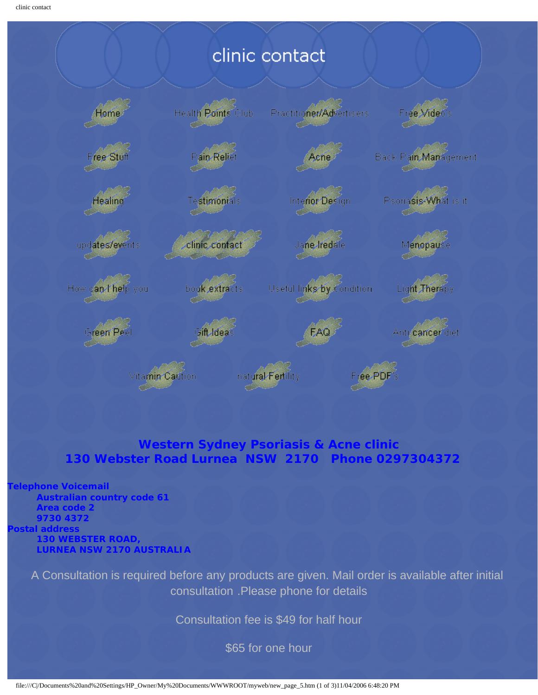## clinic contact



### **Western Sydney Psoriasis & Acne clinic 130 Webster Road Lurnea NSW 2170 Phone 0297304372**

#### **Telephone Voicemail**

**Australian country code 61 Area code 2 9730 4372 Postal address 130 WEBSTER ROAD, LURNEA NSW 2170 AUSTRALIA**

> A Consultation is required before any products are given. Mail order is available after initial consultation .Please phone for details

> > Consultation fee is \$49 for half hour

\$65 for one hour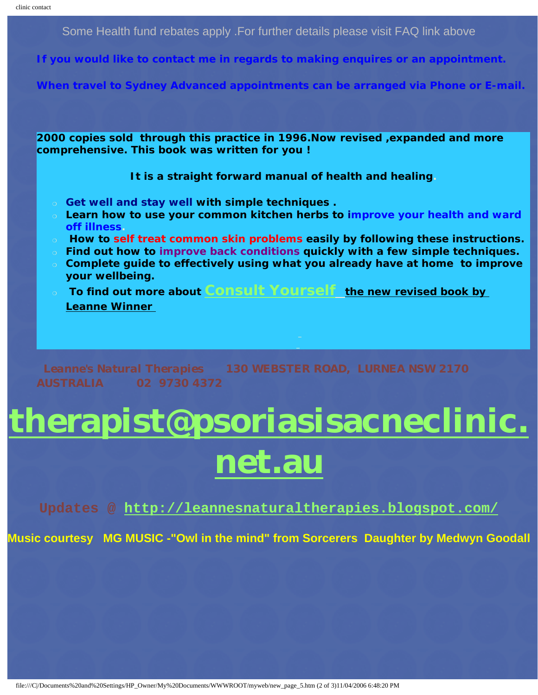Some Health fund rebates apply .For further details please visit FAQ link above

**If you would like to contact me in regards to making enquires or an appointment.**

**When travel to Sydney Advanced appointments can be arranged via Phone or E-mail.**

**2000 copies sold through this practice in 1996.Now revised ,expanded and more comprehensive. This book was written for you !** 

**It is a straight forward manual of health and healing.**

- ❍ **Get well and stay well with simple techniques .**
- ❍ **Learn how to use your common kitchen herbs to improve your health and ward off illness.**
- ❍ **How to self treat common skin problems easily by following these instructions.**
- ❍ **Find out how to improve back conditions quickly with a few simple techniques.**
- ❍ **Complete guide to effectively using what you already have at home to improve your wellbeing.**
- ❍ **To find out more about [Consult Yourself](http://www.psoriasisacneclinic.net.au/serv01.htm)** *the new revised book by Leanne Winner*

*Leanne's Natural Therapies 130 WEBSTER ROAD, LURNEA NSW 2170 AUSTRALIA 02 9730 4372*

# **[therapist@psoriasisacneclinic.](mailto:leannewinner2@optusnet.com.au) [net.au](mailto:leannewinner2@optusnet.com.au)**

**Updates @<http://leannesnaturaltherapies.blogspot.com/>**

**Music courtesy MG MUSIC -"Owl in the mind" from Sorcerers Daughter by Medwyn Goodall**